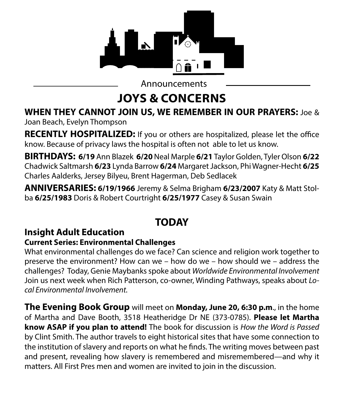

Announcements

# **JOYS & CONCERNS**

## **WHEN THEY CANNOT JOIN US, WE REMEMBER IN OUR PRAYERS:** Joe &

Joan Beach, Evelyn Thompson

**RECENTLY HOSPITALIZED:** If you or others are hospitalized, please let the office know. Because of privacy laws the hospital is often not able to let us know.

**BIRTHDAYS: 6/19** Ann Blazek **6/20** Neal Marple **6/21** Taylor Golden, Tyler Olson **6/22**  Chadwick Saltmarsh **6/23** Lynda Barrow **6/24** Margaret Jackson, Phi Wagner-Hecht **6/25**  Charles Aalderks, Jersey Bilyeu, Brent Hagerman, Deb Sedlacek

**ANNIVERSARIES: 6/19/1966** Jeremy & Selma Brigham **6/23/2007** Katy & Matt Stolba **6/25/1983** Doris & Robert Courtright **6/25/1977** Casey & Susan Swain

## **TODAY**

## **Insight Adult Education**

#### **Current Series: Environmental Challenges**

What environmental challenges do we face? Can science and religion work together to preserve the environment? How can we – how do we – how should we – address the challenges? Today, Genie Maybanks spoke about *Worldwide Environmental Involvement*  Join us next week when Rich Patterson, co-owner, Winding Pathways, speaks about *Local Environmental Involvement.*

**The Evening Book Group** will meet on **Monday, June 20, 6:30 p.m**., in the home of Martha and Dave Booth, 3518 Heatheridge Dr NE (373-0785). **Please let Martha know ASAP if you plan to attend!** The book for discussion is *How the Word is Passed* by Clint Smith. The author travels to eight historical sites that have some connection to the institution of slavery and reports on what he finds. The writing moves between past and present, revealing how slavery is remembered and misremembered—and why it matters. All First Pres men and women are invited to join in the discussion.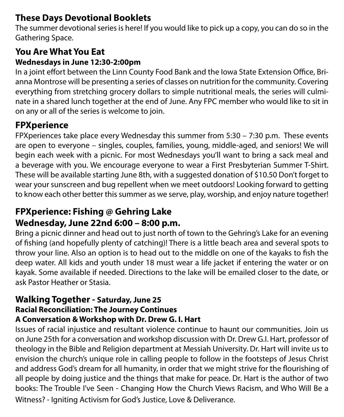#### **These Days Devotional Booklets**

The summer devotional series is here! If you would like to pick up a copy, you can do so in the Gathering Space.

#### **You Are What You Eat**

#### **Wednesdays in June 12:30-2:00pm**

In a joint effort between the Linn County Food Bank and the Iowa State Extension Office, Brianna Montrose will be presenting a series of classes on nutrition for the community. Covering everything from stretching grocery dollars to simple nutritional meals, the series will culminate in a shared lunch together at the end of June. Any FPC member who would like to sit in on any or all of the series is welcome to join.

#### **FPXperience**

FPXperiences take place every Wednesday this summer from 5:30 – 7:30 p.m. These events are open to everyone – singles, couples, families, young, middle-aged, and seniors! We will begin each week with a picnic. For most Wednesdays you'll want to bring a sack meal and a beverage with you. We encourage everyone to wear a First Presbyterian Summer T-Shirt. These will be available starting June 8th, with a suggested donation of \$10.50 Don't forget to wear your sunscreen and bug repellent when we meet outdoors! Looking forward to getting to know each other better this summer as we serve, play, worship, and enjoy nature together!

#### **FPXperience: Fishing @ Gehring Lake Wednesday, June 22nd 6:00 – 8:00 p.m.**

Bring a picnic dinner and head out to just north of town to the Gehring's Lake for an evening of fishing (and hopefully plenty of catching)! There is a little beach area and several spots to throw your line. Also an option is to head out to the middle on one of the kayaks to fish the deep water. All kids and youth under 18 must wear a life jacket if entering the water or on kayak. Some available if needed. Directions to the lake will be emailed closer to the date, or ask Pastor Heather or Stasia.

#### **Walking Together - Saturday, June 25 Racial Reconciliation: The Journey Continues A Conversation & Workshop with Dr. Drew G. I. Hart**

Issues of racial injustice and resultant violence continue to haunt our communities. Join us on June 25th for a conversation and workshop discussion with Dr. Drew G.I. Hart, professor of theology in the Bible and Religion department at Messiah University. Dr. Hart will invite us to envision the church's unique role in calling people to follow in the footsteps of Jesus Christ and address God's dream for all humanity, in order that we might strive for the flourishing of all people by doing justice and the things that make for peace. Dr. Hart is the author of two books: The Trouble I've Seen - Changing How the Church Views Racism, and Who Will Be a Witness? - Igniting Activism for God's Justice, Love & Deliverance.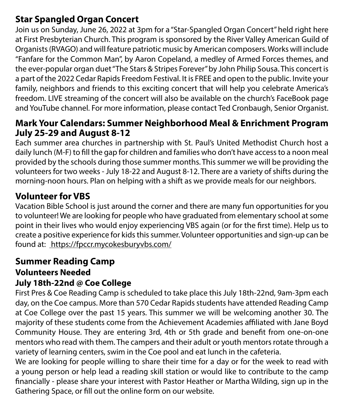#### **Star Spangled Organ Concert**

Join us on Sunday, June 26, 2022 at 3pm for a "Star-Spangled Organ Concert" held right here at First Presbyterian Church. This program is sponsored by the River Valley American Guild of Organists (RVAGO) and will feature patriotic music by American composers. Works will include "Fanfare for the Common Man", by Aaron Copeland, a medley of Armed Forces themes, and the ever-popular organ duet "The Stars & Stripes Forever" by John Philip Sousa. This concert is a part of the 2022 Cedar Rapids Freedom Festival. It is FREE and open to the public. Invite your family, neighbors and friends to this exciting concert that will help you celebrate America's freedom. LIVE streaming of the concert will also be available on the church's FaceBook page and YouTube channel. For more information, please contact Ted Cronbaugh, Senior Organist.

#### **Mark Your Calendars: Summer Neighborhood Meal & Enrichment Program July 25-29 and August 8-12**

Each summer area churches in partnership with St. Paul's United Methodist Church host a daily lunch (M-F) to fill the gap for children and families who don't have access to a noon meal provided by the schools during those summer months. This summer we will be providing the volunteers for two weeks - July 18-22 and August 8-12. There are a variety of shifts during the morning-noon hours. Plan on helping with a shift as we provide meals for our neighbors.

## **Volunteer for VBS**

Vacation Bible School is just around the corner and there are many fun opportunities for you to volunteer! We are looking for people who have graduated from elementary school at some point in their lives who would enjoy experiencing VBS again (or for the first time). Help us to create a positive experience for kids this summer. Volunteer opportunities and sign-up can be found at: https://fpccr.mycokesburyvbs.com/

#### **Summer Reading Camp Volunteers Needed July 18th-22nd @ Coe College**

First Pres & Coe Reading Camp is scheduled to take place this July 18th-22nd, 9am-3pm each day, on the Coe campus. More than 570 Cedar Rapids students have attended Reading Camp at Coe College over the past 15 years. This summer we will be welcoming another 30. The majority of these students come from the Achievement Academies affiliated with Jane Boyd Community House. They are entering 3rd, 4th or 5th grade and benefit from one-on-one mentors who read with them. The campers and their adult or youth mentors rotate through a variety of learning centers, swim in the Coe pool and eat lunch in the cafeteria.

We are looking for people willing to share their time for a day or for the week to read with a young person or help lead a reading skill station or would like to contribute to the camp financially - please share your interest with Pastor Heather or Martha Wilding, sign up in the Gathering Space, or fill out the online form on our website.